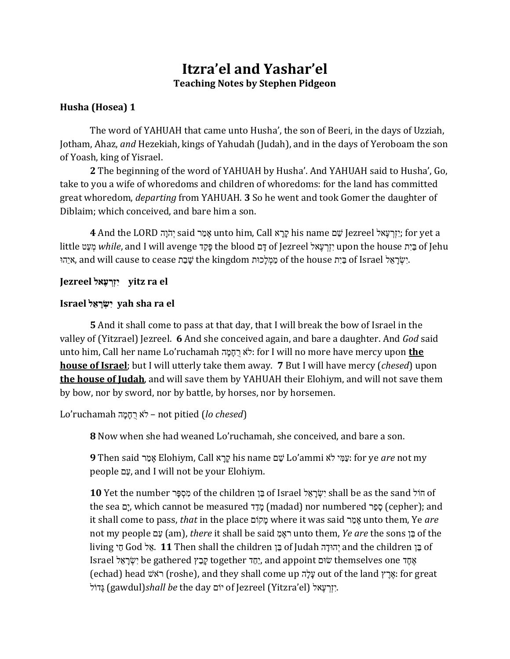# **Itzra'el and Yashar'el Teaching Notes by Stephen Pidgeon**

## **Husha (Hosea) 1**

The word of YAHUAH that came unto Husha', the son of Beeri, in the days of Uzziah, Jotham, Ahaz, *and* Hezekiah, kings of Yahudah (Judah), and in the days of Yeroboam the son of Yoash, king of Yisrael.

**2** The beginning of the word of YAHUAH by Husha'. And YAHUAH said to Husha', Go, take to you a wife of whoredoms and children of whoredoms: for the land has committed great whoredom, *departing* from YAHUAH. **3** So he went and took Gomer the daughter of Diblaim; which conceived, and bare him a son.

 a yet for; הא ֶָ אָ ְזרי Jezreel םֵׁ ש name his אְ אְ ר Call ,him unto רְ מָ א said הָ יֹ הְי LORD the And **4** little בְּיָת *while*, and I will avenge פָּקֵד the blood כַּיָת gf Jezreel זְרֵעָאל upon the house בְּיָת of Jehu אֵיְהוּ, and will cause to cease שָׁבַּת the kingdom מַמְלִכוּת of the house בַּיִת cf Israel ,

## **el ra yitz לא ֶר ְר ְז ִי Jezreel**

## **Israel י ִִ ְְׂ אר לא yah sha ra el**

**5** And it shall come to pass at that day, that I will break the bow of Israel in the valley of (Yitzrael) Jezreel. **6** And she conceived again, and bare a daughter. And *God* said unto him, Call her name Lo'ruchamah י ְמ ְמ ָא רֹי: for I will no more have mercy upon **the house of Israel**; but I will utterly take them away. **7** But I will have mercy (*chesed*) upon **the house of Judah**, and will save them by YAHUAH their Elohiym, and will not save them by bow, nor by sword, nor by battle, by horses, nor by horsemen.

(*chesed lo* (pitied not – יֹר אָ מְ מְ י ruchamah'Lo

**8** Now when she had weaned Lo'ruchamah, she conceived, and bare a son.

**9** Then said א ָמ ְר Elohiym, Call ר ְא ְא his name ש ֵׁם Lo'ammi רֹי ה מא ְָ: for ye *are* not my people עֲם, and I will not be your Elohiym.

10 Yet the number מְסְפֵּר of the children כֵּוּ of Israel יִשְׂרָאֵל shall be as the sand הוֹל the sea יָם (which cannot be measured זמַך (madad) nor numbered ספר (cepher); and it shall come to pass, *that* in the place ושֹא ְמ where it was said א ָמ ְר unto them, Ye *are* not my people ש ְָ) am), *there* it shall be said אָמ ְאר unto them, *Ye are* the sons ב ֵׁת of the living הֵי God יָהוּ **11** Then shall the children בָּה of Judah יְהוּדָה and the children הַ Israel אָחֲדָ be gathered קָּבַץ together אָ הָה and appoint שׂוּם themselves one אָ הָ (echad) head יֹאָרֵץ roshe), and they shall come עַלָּה out of the land אֲרֵץ: for great י ֹפהְל) gawdul)*shall be* the day ושֹה of Jezreel (Yitzra'el) זריְ ָא ֶָ הא.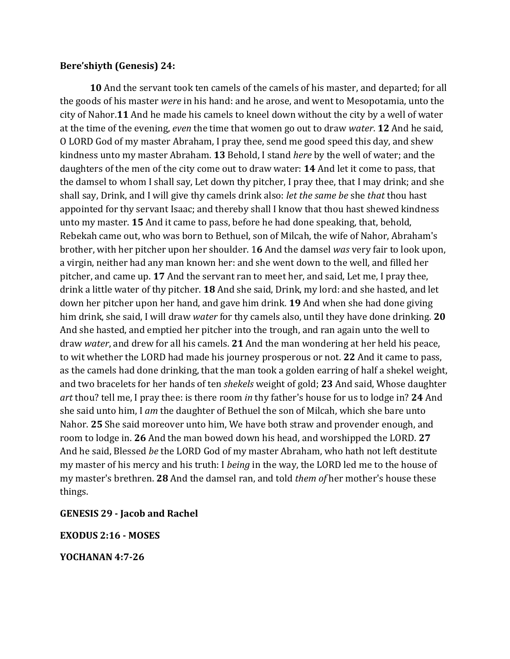### **Bere'shiyth (Genesis) 24:**

**10** And the servant took ten camels of the camels of his master, and departed; for all the goods of his master *were* in his hand: and he arose, and went to Mesopotamia, unto the city of Nahor.**11** And he made his camels to kneel down without the city by a well of water at the time of the evening, *even* the time that women go out to draw *water*. **12** And he said, O LORD God of my master Abraham, I pray thee, send me good speed this day, and shew kindness unto my master Abraham. **13** Behold, I stand *here* by the well of water; and the daughters of the men of the city come out to draw water: **14** And let it come to pass, that the damsel to whom I shall say, Let down thy pitcher, I pray thee, that I may drink; and she shall say, Drink, and I will give thy camels drink also: *let the same be* she *that* thou hast appointed for thy servant Isaac; and thereby shall I know that thou hast shewed kindness unto my master. **15** And it came to pass, before he had done speaking, that, behold, Rebekah came out, who was born to Bethuel, son of Milcah, the wife of Nahor, Abraham's brother, with her pitcher upon her shoulder. 1**6** And the damsel *was* very fair to look upon, a virgin, neither had any man known her: and she went down to the well, and filled her pitcher, and came up. **17** And the servant ran to meet her, and said, Let me, I pray thee, drink a little water of thy pitcher. **18** And she said, Drink, my lord: and she hasted, and let down her pitcher upon her hand, and gave him drink. **19** And when she had done giving him drink, she said, I will draw *water* for thy camels also, until they have done drinking. **20** And she hasted, and emptied her pitcher into the trough, and ran again unto the well to draw *water*, and drew for all his camels. **21** And the man wondering at her held his peace, to wit whether the LORD had made his journey prosperous or not. **22** And it came to pass, as the camels had done drinking, that the man took a golden earring of half a shekel weight, and two bracelets for her hands of ten *shekels* weight of gold; **23** And said, Whose daughter *art* thou? tell me, I pray thee: is there room *in* thy father's house for us to lodge in? **24** And she said unto him, I *am* the daughter of Bethuel the son of Milcah, which she bare unto Nahor. **25** She said moreover unto him, We have both straw and provender enough, and room to lodge in. **26** And the man bowed down his head, and worshipped the LORD. **27** And he said, Blessed *be* the LORD God of my master Abraham, who hath not left destitute my master of his mercy and his truth: I *being* in the way, the LORD led me to the house of my master's brethren. **28** And the damsel ran, and told *them of* her mother's house these things.

## **GENESIS 29 - Jacob and Rachel**

**EXODUS 2:16 - MOSES** 

**YOCHANAN 4:7-26**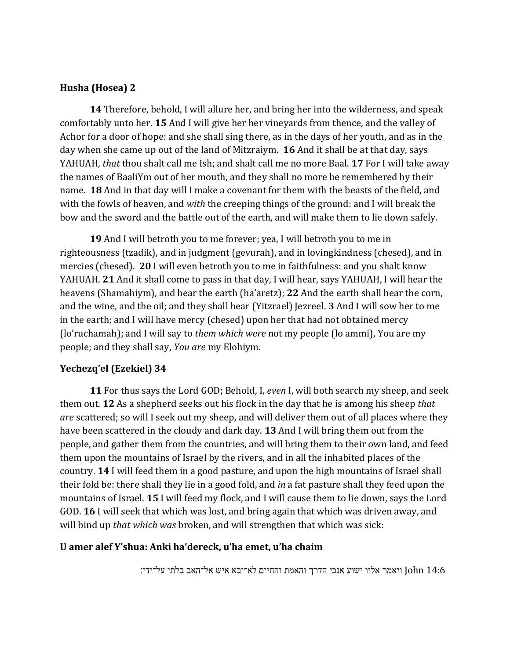### **Husha (Hosea) 2**

**14** Therefore, behold, I will allure her, and bring her into the wilderness, and speak comfortably unto her. **15** And I will give her her vineyards from thence, and the valley of Achor for a door of hope: and she shall sing there, as in the days of her youth, and as in the day when she came up out of the land of Mitzraiym. **16** And it shall be at that day, says YAHUAH, *that* thou shalt call me Ish; and shalt call me no more Baal. **17** For I will take away the names of BaaliYm out of her mouth, and they shall no more be remembered by their name. **18** And in that day will I make a covenant for them with the beasts of the field, and with the fowls of heaven, and *with* the creeping things of the ground: and I will break the bow and the sword and the battle out of the earth, and will make them to lie down safely.

**19** And I will betroth you to me forever; yea, I will betroth you to me in righteousness (tzadik), and in judgment (gevurah), and in lovingkindness (chesed), and in mercies (chesed). **20** I will even betroth you to me in faithfulness: and you shalt know YAHUAH. **21** And it shall come to pass in that day, I will hear, says YAHUAH, I will hear the heavens (Shamahiym), and hear the earth (ha'aretz); **22** And the earth shall hear the corn, and the wine, and the oil; and they shall hear (Yitzrael) Jezreel. **3** And I will sow her to me in the earth; and I will have mercy (chesed) upon her that had not obtained mercy (lo'ruchamah); and I will say to *them which were* not my people (lo ammi), You are my people; and they shall say, *You are* my Elohiym.

## **Yechezq'el (Ezekiel) 34**

**11** For thus says the Lord GOD; Behold, I, *even* I, will both search my sheep, and seek them out. **12** As a shepherd seeks out his flock in the day that he is among his sheep *that are* scattered; so will I seek out my sheep, and will deliver them out of all places where they have been scattered in the cloudy and dark day. **13** And I will bring them out from the people, and gather them from the countries, and will bring them to their own land, and feed them upon the mountains of Israel by the rivers, and in all the inhabited places of the country. **14** I will feed them in a good pasture, and upon the high mountains of Israel shall their fold be: there shall they lie in a good fold, and *in* a fat pasture shall they feed upon the mountains of Israel. **15** I will feed my flock, and I will cause them to lie down, says the Lord GOD. **16** I will seek that which was lost, and bring again that which was driven away, and will bind up *that which was* broken, and will strengthen that which was sick:

#### **U amer alef Y'shua: Anki ha'dereck, u'ha emet, u'ha chaim**

14:6 John ויאמר אליו ישוע אנכי הדרך והאמת והחיים לא־יבא איש אל־האב בלתי על־ידי׃